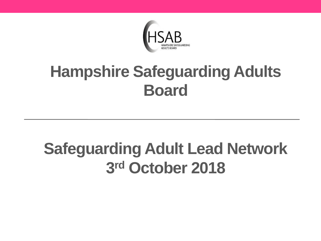

#### **Hampshire Safeguarding Adults Board**

### **Safeguarding Adult Lead Network 3 rd October 2018**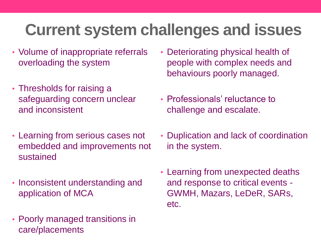### **Current system challenges and issues**

- Volume of inappropriate referrals overloading the system
- Thresholds for raising a safeguarding concern unclear and inconsistent
- Learning from serious cases not embedded and improvements not sustained
- Inconsistent understanding and application of MCA
- Poorly managed transitions in care/placements
- Deteriorating physical health of people with complex needs and behaviours poorly managed.
- Professionals' reluctance to challenge and escalate.
- Duplication and lack of coordination in the system.
- Learning from unexpected deaths and response to critical events - GWMH, Mazars, LeDeR, SARs, etc.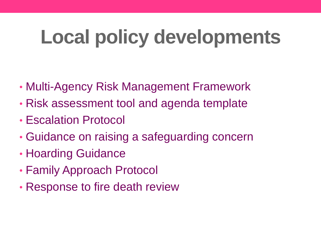# **Local policy developments**

- Multi-Agency Risk Management Framework
- Risk assessment tool and agenda template
- Escalation Protocol
- Guidance on raising a safeguarding concern
- Hoarding Guidance
- Family Approach Protocol
- Response to fire death review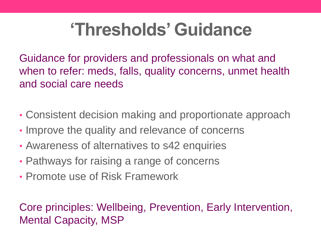### **'Thresholds' Guidance**

Guidance for providers and professionals on what and when to refer: meds, falls, quality concerns, unmet health and social care needs

- Consistent decision making and proportionate approach
- Improve the quality and relevance of concerns
- Awareness of alternatives to s42 enquiries
- Pathways for raising a range of concerns
- Promote use of Risk Framework

Core principles: Wellbeing, Prevention, Early Intervention, Mental Capacity, MSP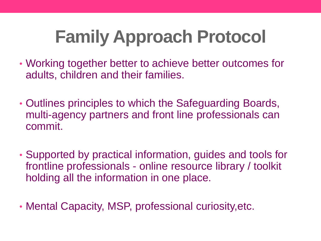# **Family Approach Protocol**

- Working together better to achieve better outcomes for adults, children and their families.
- Outlines principles to which the Safeguarding Boards, multi-agency partners and front line professionals can commit.
- Supported by practical information, guides and tools for frontline professionals - online resource library / toolkit holding all the information in one place.
- Mental Capacity, MSP, professional curiosity,etc.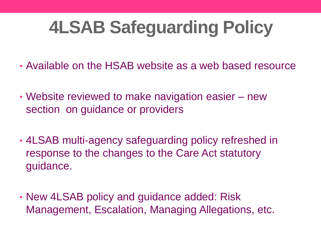## **4LSAB Safeguarding Policy**

- Available on the HSAB website as a web based resource
- Website reviewed to make navigation easier new section on guidance or providers
- 4LSAB multi-agency safeguarding policy refreshed in response to the changes to the Care Act statutory guidance.
- New 4LSAB policy and guidance added: Risk Management, Escalation, Managing Allegations, etc.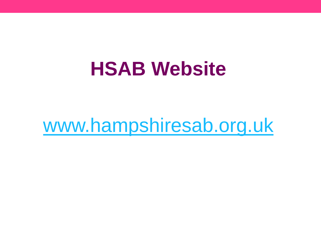### **HSAB Website**

### [www.hampshiresab.org.uk](http://www.hampshiresab.org.uk/)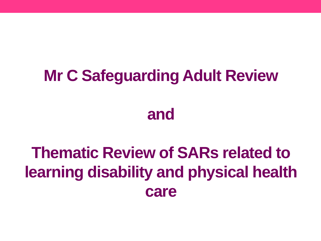### **Mr C Safeguarding Adult Review**

#### **and**

### **Thematic Review of SARs related to learning disability and physical health care**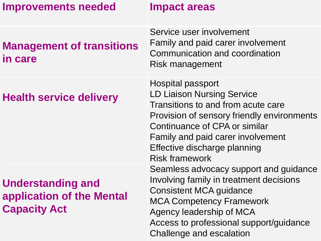| <b>Improvements needed</b>                                                   | <b>Impact areas</b>                                                                                                                                                                                                                                                              |
|------------------------------------------------------------------------------|----------------------------------------------------------------------------------------------------------------------------------------------------------------------------------------------------------------------------------------------------------------------------------|
| <b>Management of transitions</b><br>in care                                  | Service user involvement<br><b>Family and paid carer involvement</b><br>Communication and coordination<br>Risk management                                                                                                                                                        |
| <b>Health service delivery</b>                                               | <b>Hospital passport</b><br><b>LD Liaison Nursing Service</b><br>Transitions to and from acute care<br>Provision of sensory friendly environments<br>Continuance of CPA or similar<br>Family and paid carer involvement<br>Effective discharge planning<br><b>Risk framework</b> |
| <b>Understanding and</b><br>application of the Mental<br><b>Capacity Act</b> | Seamless advocacy support and guidance<br>Involving family in treatment decisions<br><b>Consistent MCA guidance</b><br><b>MCA Competency Framework</b><br>Agency leadership of MCA<br>Access to professional support/guidance                                                    |

Challenge and escalation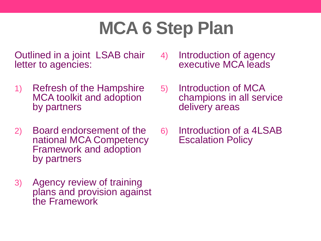## **MCA 6 Step Plan**

Outlined in a joint LSAB chair letter to agencies:

- 1) Refresh of the Hampshire MCA toolkit and adoption by partners
- 2) Board endorsement of the national MCA Competency Framework and adoption by partners
- 3) Agency review of training plans and provision against the Framework
- 4) Introduction of agency executive MCA leads
- 5) Introduction of MCA champions in all service delivery areas
- 6) Introduction of a 4LSAB Escalation Policy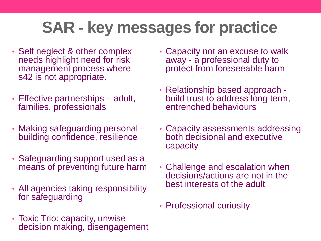### **SAR - key messages for practice**

- Self neglect & other complex needs highlight need for risk management process where s42 is not appropriate.
- Effective partnerships adult, families, professionals
- Making safeguarding personal building confidence, resilience
- Safeguarding support used as a means of preventing future harm
- All agencies taking responsibility for safeguarding
- Toxic Trio: capacity, unwise decision making, disengagement
- Capacity not an excuse to walk away - a professional duty to protect from foreseeable harm
- Relationship based approach build trust to address long term, entrenched behaviours
- Capacity assessments addressing both decisional and executive capacity
- Challenge and escalation when decisions/actions are not in the best interests of the adult
- Professional curiosity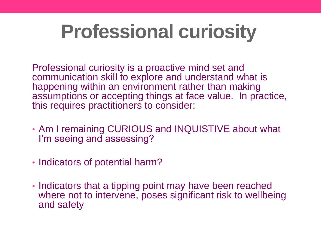# **Professional curiosity**

Professional curiosity is a proactive mind set and communication skill to explore and understand what is happening within an environment rather than making assumptions or accepting things at face value. In practice, this requires practitioners to consider:

- Am I remaining CURIOUS and INQUISTIVE about what I'm seeing and assessing?
- Indicators of potential harm?
- Indicators that a tipping point may have been reached where not to intervene, poses significant risk to wellbeing and safety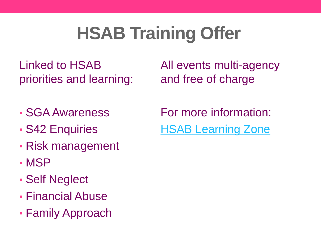## **HSAB Training Offer**

Linked to HSAB priorities and learning:

All events multi-agency and free of charge

- SGA Awareness
- S42 Enquiries
- Risk management
- MSP
- Self Neglect
- Financial Abuse
- Family Approach

For more information: [HSAB Learning Zone](http://www.hampshiresab.org.uk/professionals-area/learning-development/)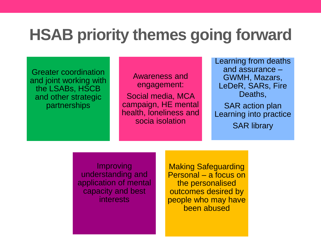#### **HSAB priority themes going forward**

Greater coordination and joint working with the LSABs, HSCB and other strategic partnerships

Awareness and engagement: Social media, MCA campaign, HE mental health, loneliness and socia isolation

Learning from deaths and assurance – GWMH, Mazars, LeDeR, SARs, Fire Deaths, SAR action plan

Learning into practice SAR library

Improving understanding and application of mental capacity and best interests

Making Safeguarding Personal – a focus on the personalised outcomes desired by people who may have been abused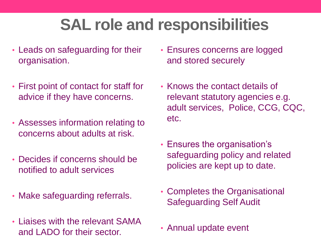### **SAL role and responsibilities**

- Leads on safeguarding for their organisation.
- First point of contact for staff for advice if they have concerns.
- Assesses information relating to concerns about adults at risk.
- Decides if concerns should be notified to adult services
- Make safeguarding referrals.
- Liaises with the relevant SAMA and LADO for their sector.
- Ensures concerns are logged and stored securely
- Knows the contact details of relevant statutory agencies e.g. adult services, Police, CCG, CQC, etc.
- Ensures the organisation's safeguarding policy and related policies are kept up to date.
- Completes the Organisational Safeguarding Self Audit
- Annual update event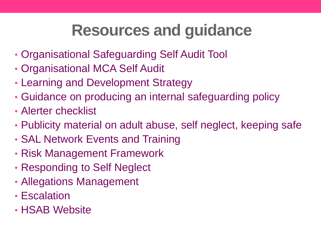### **Resources and guidance**

- Organisational Safeguarding Self Audit Tool
- Organisational MCA Self Audit
- Learning and Development Strategy
- Guidance on producing an internal safeguarding policy
- Alerter checklist
- Publicity material on adult abuse, self neglect, keeping safe
- SAL Network Events and Training
- Risk Management Framework
- Responding to Self Neglect
- Allegations Management
- Escalation
- HSAB Website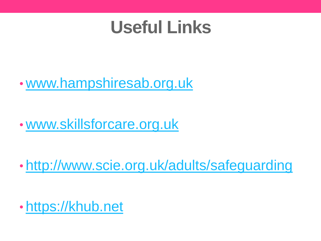### **Useful Links**

#### • [www.hampshiresab.org.uk](http://www.hampshiresab.org.uk/)

• [www.skillsforcare.org.uk](http://www.skillsforcare.org.uk/Skills/Safeguarding/Safeguarding.aspx) 

• <http://www.scie.org.uk/adults/safeguarding>

• [https://khub.net](https://khub.net/)